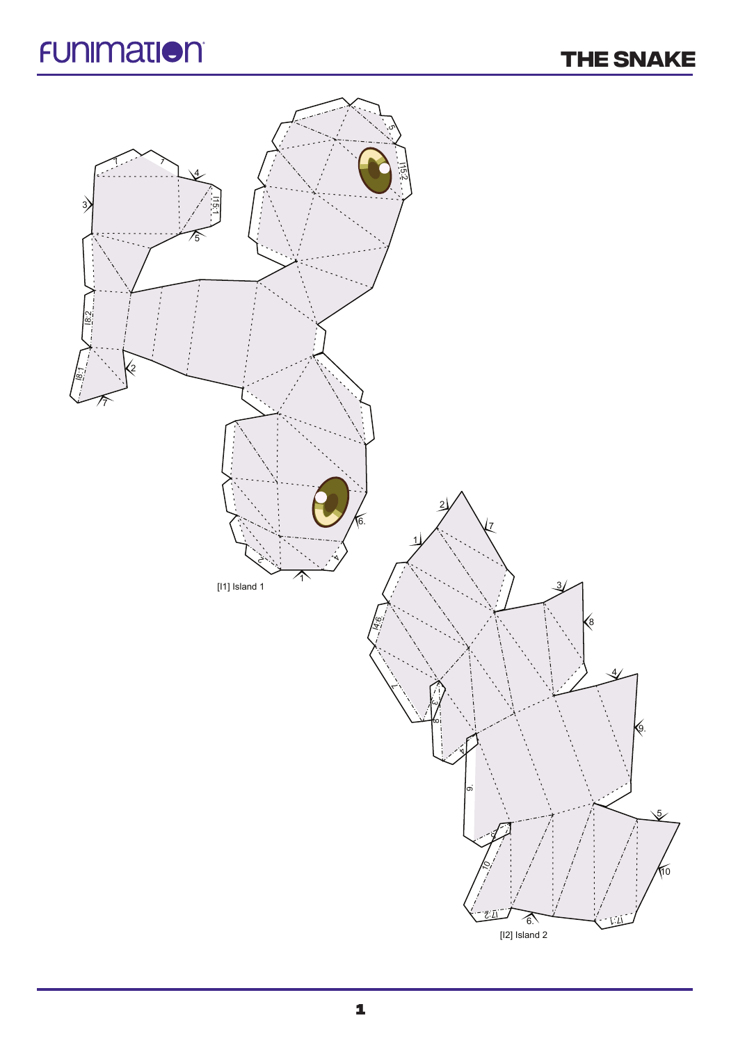## **FUNIMATION**

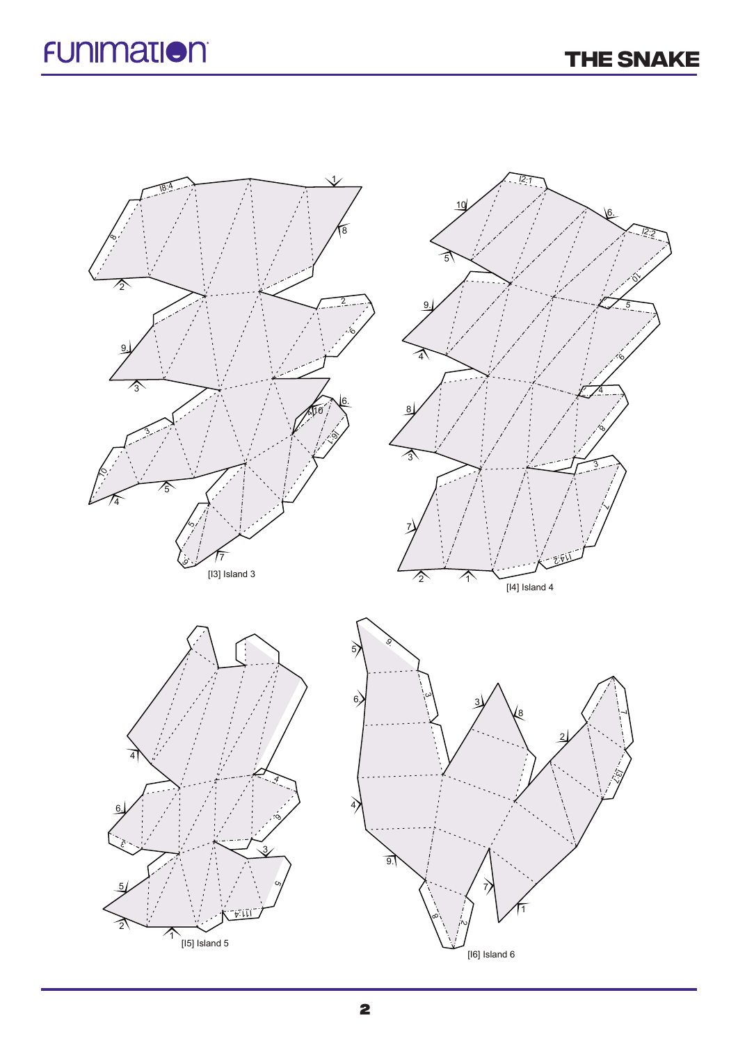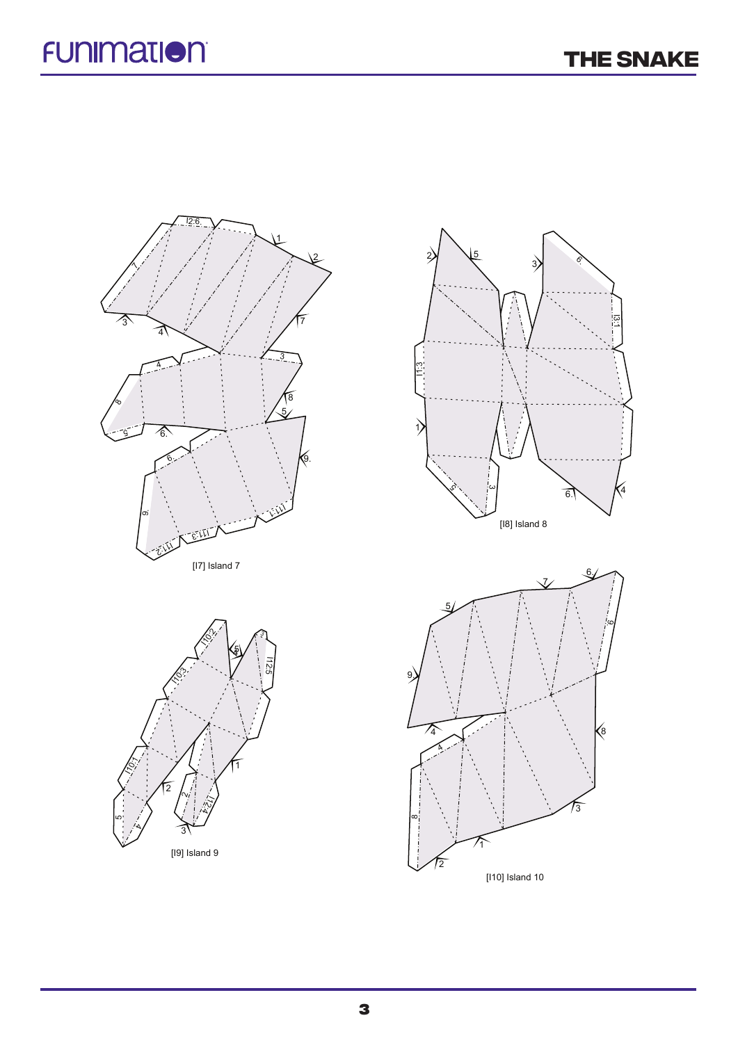